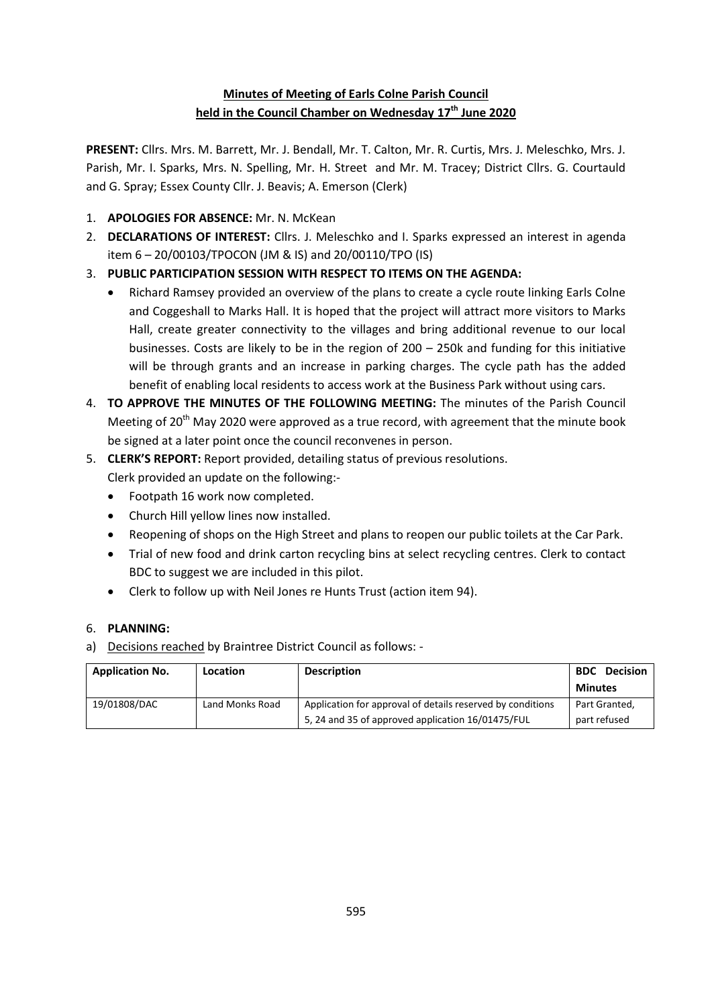# **Minutes of Meeting of Earls Colne Parish Council held in the Council Chamber on Wednesday 17th June 2020**

**PRESENT:** Cllrs. Mrs. M. Barrett, Mr. J. Bendall, Mr. T. Calton, Mr. R. Curtis, Mrs. J. Meleschko, Mrs. J. Parish, Mr. I. Sparks, Mrs. N. Spelling, Mr. H. Street and Mr. M. Tracey; District Cllrs. G. Courtauld and G. Spray; Essex County Cllr. J. Beavis; A. Emerson (Clerk)

- 1. **APOLOGIES FOR ABSENCE:** Mr. N. McKean
- 2. **DECLARATIONS OF INTEREST:** Cllrs. J. Meleschko and I. Sparks expressed an interest in agenda item 6 – 20/00103/TPOCON (JM & IS) and 20/00110/TPO (IS)
- 3. **PUBLIC PARTICIPATION SESSION WITH RESPECT TO ITEMS ON THE AGENDA:**
	- Richard Ramsey provided an overview of the plans to create a cycle route linking Earls Colne and Coggeshall to Marks Hall. It is hoped that the project will attract more visitors to Marks Hall, create greater connectivity to the villages and bring additional revenue to our local businesses. Costs are likely to be in the region of 200 – 250k and funding for this initiative will be through grants and an increase in parking charges. The cycle path has the added benefit of enabling local residents to access work at the Business Park without using cars.
- 4. **TO APPROVE THE MINUTES OF THE FOLLOWING MEETING:** The minutes of the Parish Council Meeting of 20<sup>th</sup> May 2020 were approved as a true record, with agreement that the minute book be signed at a later point once the council reconvenes in person.
- 5. **CLERK'S REPORT:** Report provided, detailing status of previous resolutions.
	- Clerk provided an update on the following:-
	- Footpath 16 work now completed.
	- Church Hill yellow lines now installed.
	- Reopening of shops on the High Street and plans to reopen our public toilets at the Car Park.
	- Trial of new food and drink carton recycling bins at select recycling centres. Clerk to contact BDC to suggest we are included in this pilot.
	- Clerk to follow up with Neil Jones re Hunts Trust (action item 94).

## 6. **PLANNING:**

a) Decisions reached by Braintree District Council as follows: -

| <b>Application No.</b> | <b>Location</b> | <b>Description</b>                                         | <b>Decision</b><br><b>BDC</b> |
|------------------------|-----------------|------------------------------------------------------------|-------------------------------|
|                        |                 |                                                            | <b>Minutes</b>                |
| 19/01808/DAC           | Land Monks Road | Application for approval of details reserved by conditions | Part Granted,                 |
|                        |                 | 5, 24 and 35 of approved application 16/01475/FUL          | part refused                  |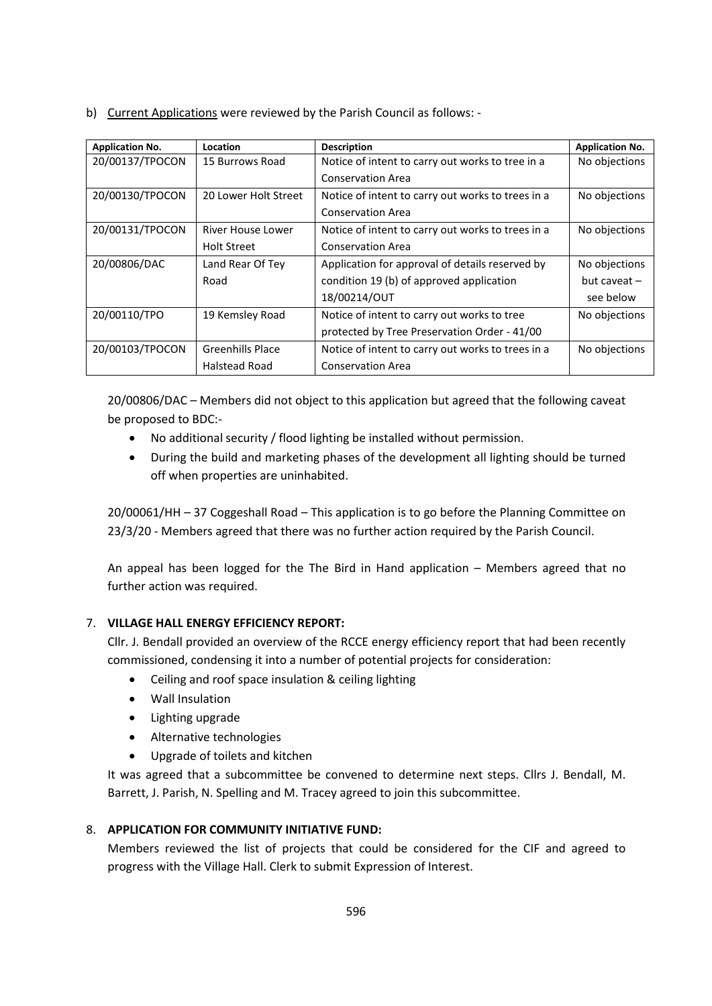b) Current Applications were reviewed by the Parish Council as follows: -

| <b>Application No.</b> | Location             | <b>Description</b>                                | <b>Application No.</b> |
|------------------------|----------------------|---------------------------------------------------|------------------------|
| 20/00137/TPOCON        | 15 Burrows Road      | Notice of intent to carry out works to tree in a  | No objections          |
|                        |                      | <b>Conservation Area</b>                          |                        |
| 20/00130/TPOCON        | 20 Lower Holt Street | Notice of intent to carry out works to trees in a | No objections          |
|                        |                      | <b>Conservation Area</b>                          |                        |
| 20/00131/TPOCON        | River House Lower    | Notice of intent to carry out works to trees in a | No objections          |
|                        | <b>Holt Street</b>   | <b>Conservation Area</b>                          |                        |
| 20/00806/DAC           | Land Rear Of Tey     | Application for approval of details reserved by   | No objections          |
|                        | Road                 | condition 19 (b) of approved application          | but caveat $-$         |
|                        |                      | 18/00214/OUT                                      | see below              |
| 20/00110/TPO           | 19 Kemsley Road      | Notice of intent to carry out works to tree       | No objections          |
|                        |                      | protected by Tree Preservation Order - 41/00      |                        |
| 20/00103/TPOCON        | Greenhills Place     | Notice of intent to carry out works to trees in a | No objections          |
|                        | Halstead Road        | <b>Conservation Area</b>                          |                        |

20/00806/DAC – Members did not object to this application but agreed that the following caveat be proposed to BDC:-

- No additional security / flood lighting be installed without permission.
- During the build and marketing phases of the development all lighting should be turned off when properties are uninhabited.

20/00061/HH – 37 Coggeshall Road – This application is to go before the Planning Committee on 23/3/20 - Members agreed that there was no further action required by the Parish Council.

An appeal has been logged for the The Bird in Hand application – Members agreed that no further action was required.

## 7. **VILLAGE HALL ENERGY EFFICIENCY REPORT:**

Cllr. J. Bendall provided an overview of the RCCE energy efficiency report that had been recently commissioned, condensing it into a number of potential projects for consideration:

- Ceiling and roof space insulation & ceiling lighting
- Wall Insulation
- Lighting upgrade
- Alternative technologies
- Upgrade of toilets and kitchen

It was agreed that a subcommittee be convened to determine next steps. Cllrs J. Bendall, M. Barrett, J. Parish, N. Spelling and M. Tracey agreed to join this subcommittee.

## 8. **APPLICATION FOR COMMUNITY INITIATIVE FUND:**

Members reviewed the list of projects that could be considered for the CIF and agreed to progress with the Village Hall. Clerk to submit Expression of Interest.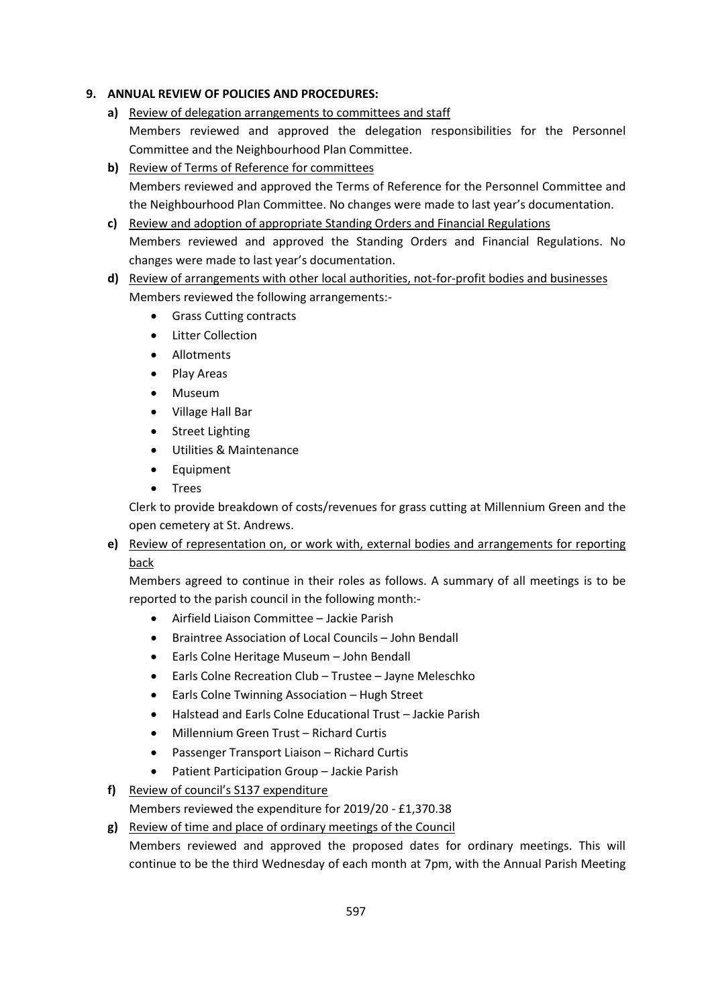#### **9. ANNUAL REVIEW OF POLICIES AND PROCEDURES:**

- **a)** Review of delegation arrangements to committees and staff Members reviewed and approved the delegation responsibilities for the Personnel Committee and the Neighbourhood Plan Committee.
- **b)** Review of Terms of Reference for committees Members reviewed and approved the Terms of Reference for the Personnel Committee and the Neighbourhood Plan Committee. No changes were made to last year's documentation.
- **c)** Review and adoption of appropriate Standing Orders and Financial Regulations Members reviewed and approved the Standing Orders and Financial Regulations. No changes were made to last year's documentation.
- **d)** Review of arrangements with other local authorities, not-for-profit bodies and businesses Members reviewed the following arrangements:-
	- Grass Cutting contracts
	- Litter Collection
	- Allotments
	- Play Areas
	- Museum
	- Village Hall Bar
	- Street Lighting
	- Utilities & Maintenance
	- Equipment
	- Trees

Clerk to provide breakdown of costs/revenues for grass cutting at Millennium Green and the open cemetery at St. Andrews.

**e)** Review of representation on, or work with, external bodies and arrangements for reporting back

Members agreed to continue in their roles as follows. A summary of all meetings is to be reported to the parish council in the following month:-

- Airfield Liaison Committee Jackie Parish
- Braintree Association of Local Councils John Bendall
- Earls Colne Heritage Museum John Bendall
- Earls Colne Recreation Club Trustee Jayne Meleschko
- Earls Colne Twinning Association Hugh Street
- Halstead and Earls Colne Educational Trust Jackie Parish
- Millennium Green Trust Richard Curtis
- Passenger Transport Liaison Richard Curtis
- Patient Participation Group Jackie Parish
- **f)** Review of council's S137 expenditure

Members reviewed the expenditure for 2019/20 - £1,370.38

**g)** Review of time and place of ordinary meetings of the Council Members reviewed and approved the proposed dates for ordinary meetings. This will continue to be the third Wednesday of each month at 7pm, with the Annual Parish Meeting